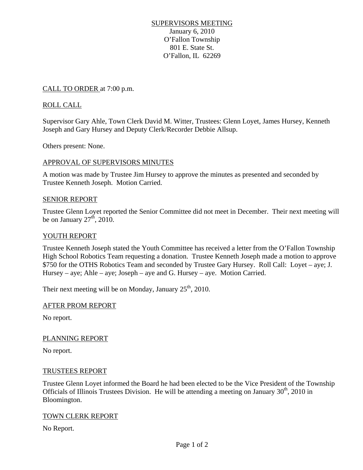# SUPERVISORS MEETING January 6, 2010 O'Fallon Township 801 E. State St. O'Fallon, IL 62269

# CALL TO ORDER at 7:00 p.m.

# ROLL CALL

Supervisor Gary Ahle, Town Clerk David M. Witter, Trustees: Glenn Loyet, James Hursey, Kenneth Joseph and Gary Hursey and Deputy Clerk/Recorder Debbie Allsup.

Others present: None.

### APPROVAL OF SUPERVISORS MINUTES

A motion was made by Trustee Jim Hursey to approve the minutes as presented and seconded by Trustee Kenneth Joseph. Motion Carried.

#### SENIOR REPORT

Trustee Glenn Loyet reported the Senior Committee did not meet in December. Their next meeting will be on January  $27<sup>th</sup>$ , 2010.

#### YOUTH REPORT

Trustee Kenneth Joseph stated the Youth Committee has received a letter from the O'Fallon Township High School Robotics Team requesting a donation. Trustee Kenneth Joseph made a motion to approve \$750 for the OTHS Robotics Team and seconded by Trustee Gary Hursey. Roll Call: Loyet – aye; J. Hursey – aye; Ahle – aye; Joseph – aye and G. Hursey – aye. Motion Carried.

Their next meeting will be on Monday, January  $25<sup>th</sup>$ , 2010.

#### AFTER PROM REPORT

No report.

#### PLANNING REPORT

No report.

#### TRUSTEES REPORT

Trustee Glenn Loyet informed the Board he had been elected to be the Vice President of the Township Officials of Illinois Trustees Division. He will be attending a meeting on January  $30<sup>th</sup>$ , 2010 in Bloomington.

#### TOWN CLERK REPORT

No Report.